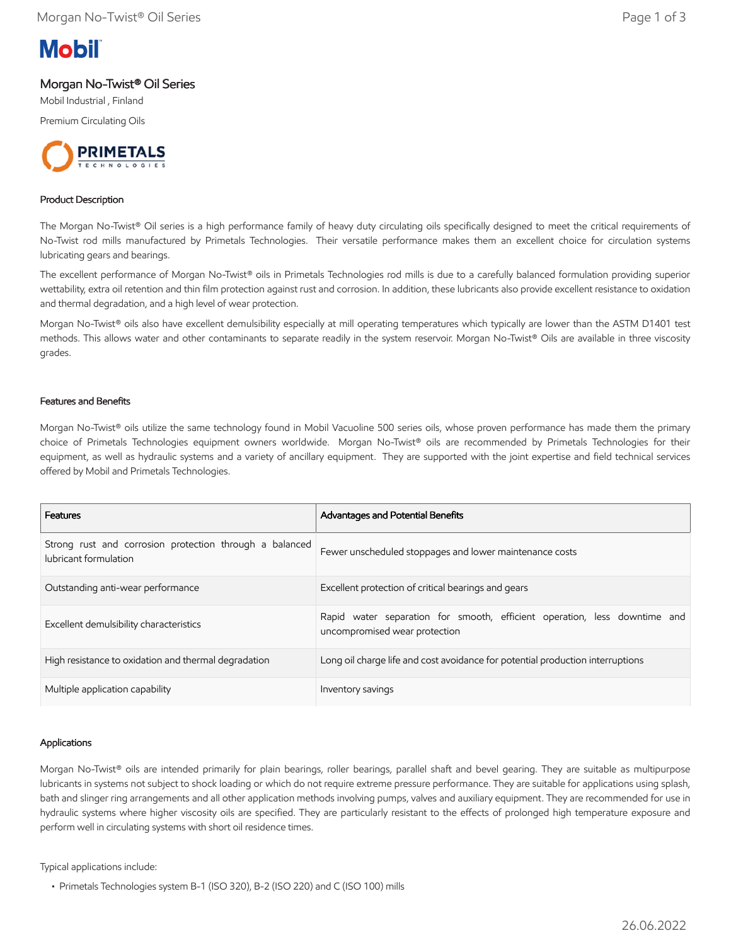

# Morgan No-Twist® Oil Series

Mobil Industrial , Finland

Premium Circulating Oils



## Product Description

The Morgan No-Twist® Oil series is a high performance family of heavy duty circulating oils specifically designed to meet the critical requirements of No-Twist rod mills manufactured by Primetals Technologies. Their versatile performance makes them an excellent choice for circulation systems lubricating gears and bearings.

The excellent performance of Morgan No-Twist® oils in Primetals Technologies rod mills is due to a carefully balanced formulation providing superior wettability, extra oil retention and thin film protection against rust and corrosion. In addition, these lubricants also provide excellent resistance to oxidation and thermal degradation, and a high level of wear protection.

Morgan No-Twist® oils also have excellent demulsibility especially at mill operating temperatures which typically are lower than the ASTM D1401 test methods. This allows water and other contaminants to separate readily in the system reservoir. Morgan No-Twist® Oils are available in three viscosity grades.

#### Features and Benefits

Morgan No-Twist® oils utilize the same technology found in Mobil Vacuoline 500 series oils, whose proven performance has made them the primary choice of Primetals Technologies equipment owners worldwide. Morgan No-Twist® oils are recommended by Primetals Technologies for their equipment, as well as hydraulic systems and a variety of ancillary equipment. They are supported with the joint expertise and field technical services offered by Mobil and Primetals Technologies.

| Features                                                                         | Advantages and Potential Benefits                                                                          |
|----------------------------------------------------------------------------------|------------------------------------------------------------------------------------------------------------|
| Strong rust and corrosion protection through a balanced<br>lubricant formulation | Fewer unscheduled stoppages and lower maintenance costs                                                    |
| Outstanding anti-wear performance                                                | Excellent protection of critical bearings and gears                                                        |
| Excellent demulsibility characteristics                                          | Rapid water separation for smooth, efficient operation, less downtime and<br>uncompromised wear protection |
| High resistance to oxidation and thermal degradation                             | Long oil charge life and cost avoidance for potential production interruptions                             |
| Multiple application capability                                                  | Inventory savings                                                                                          |

#### Applications

Morgan No-Twist® oils are intended primarily for plain bearings, roller bearings, parallel shaft and bevel gearing. They are suitable as multipurpose lubricants in systems not subject to shock loading or which do not require extreme pressure performance. They are suitable for applications using splash, bath and slinger ring arrangements and all other application methods involving pumps, valves and auxiliary equipment. They are recommended for use in hydraulic systems where higher viscosity oils are specified. They are particularly resistant to the effects of prolonged high temperature exposure and perform well in circulating systems with short oil residence times.

Typical applications include:

 <sup>•</sup> Primetals Technologies system B-1 (ISO 320), B-2 (ISO 220) and C (ISO 100) mills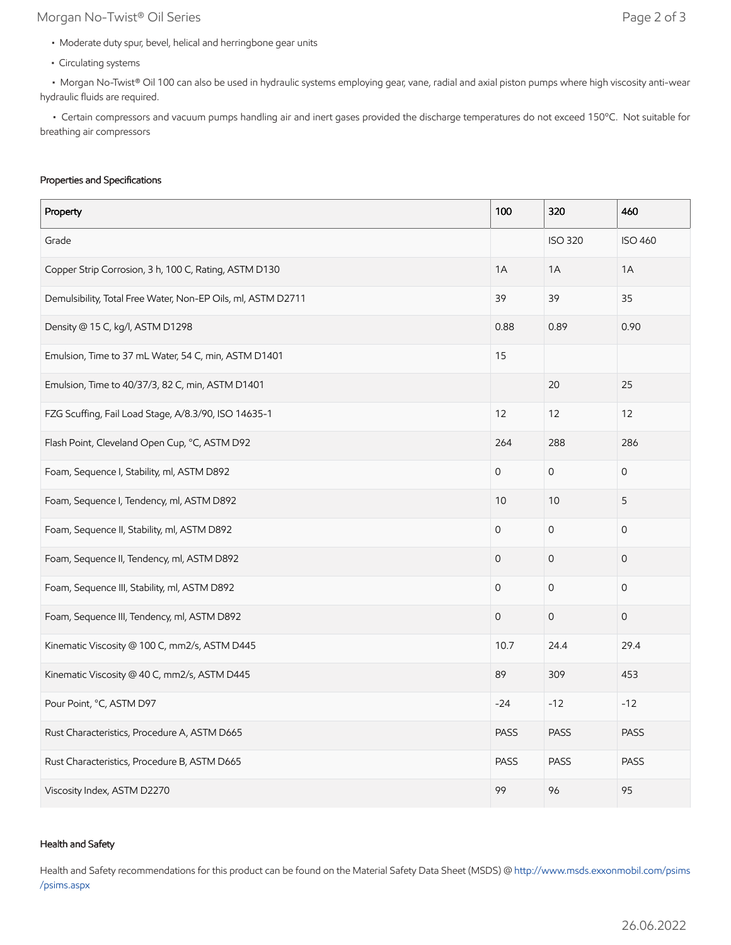# Morgan No-Twist® Oil Series **Page 2 of 3**

- Moderate duty spur, bevel, helical and herringbone gear units
- Circulating systems

 • Morgan No-Twist® Oil 100 can also be used in hydraulic systems employing gear, vane, radial and axial piston pumps where high viscosity anti-wear hydraulic fluids are required.

 • Certain compressors and vacuum pumps handling air and inert gases provided the discharge temperatures do not exceed 150ºC. Not suitable for breathing air compressors

#### Properties and Specifications

| Property                                                     | 100                 | 320                 | 460                 |
|--------------------------------------------------------------|---------------------|---------------------|---------------------|
| Grade                                                        |                     | <b>ISO 320</b>      | <b>ISO 460</b>      |
| Copper Strip Corrosion, 3 h, 100 C, Rating, ASTM D130        | 1A                  | 1A                  | 1A                  |
| Demulsibility, Total Free Water, Non-EP Oils, ml, ASTM D2711 | 39                  | 39                  | 35                  |
| Density @ 15 C, kg/l, ASTM D1298                             | 0.88                | 0.89                | 0.90                |
| Emulsion, Time to 37 mL Water, 54 C, min, ASTM D1401         | 15                  |                     |                     |
| Emulsion, Time to 40/37/3, 82 C, min, ASTM D1401             |                     | 20                  | 25                  |
| FZG Scuffing, Fail Load Stage, A/8.3/90, ISO 14635-1         | 12                  | 12                  | 12                  |
| Flash Point, Cleveland Open Cup, °C, ASTM D92                | 264                 | 288                 | 286                 |
| Foam, Sequence I, Stability, ml, ASTM D892                   | $\mathbf 0$         | $\mathsf{O}\xspace$ | $\mathbf 0$         |
| Foam, Sequence I, Tendency, ml, ASTM D892                    | 10                  | 10                  | 5                   |
| Foam, Sequence II, Stability, ml, ASTM D892                  | 0                   | $\mathsf{O}\xspace$ | 0                   |
| Foam, Sequence II, Tendency, ml, ASTM D892                   | $\mathbf 0$         | $\mathbf 0$         | $\mathsf{O}\xspace$ |
| Foam, Sequence III, Stability, ml, ASTM D892                 | $\mathsf{O}\xspace$ | $\mathsf{O}\xspace$ | $\mathsf{O}$        |
| Foam, Sequence III, Tendency, ml, ASTM D892                  | $\mathsf{O}\xspace$ | $\mathsf{O}\xspace$ | $\mathbf 0$         |
| Kinematic Viscosity @ 100 C, mm2/s, ASTM D445                | 10.7                | 24.4                | 29.4                |
| Kinematic Viscosity @ 40 C, mm2/s, ASTM D445                 | 89                  | 309                 | 453                 |
| Pour Point, °C, ASTM D97                                     | $-24$               | $-12$               | $-12$               |
| Rust Characteristics, Procedure A, ASTM D665                 | <b>PASS</b>         | <b>PASS</b>         | <b>PASS</b>         |
| Rust Characteristics, Procedure B, ASTM D665                 | <b>PASS</b>         | <b>PASS</b>         | <b>PASS</b>         |
| Viscosity Index, ASTM D2270                                  | 99                  | 96                  | 95                  |

## Health and Safety

Health and Safety recommendations for this product can be found on the Material Safety Data Sheet (MSDS) @ [http://www.msds.exxonmobil.com/psims](http://www.msds.exxonmobil.com/psims/psims.aspx) /psims.aspx